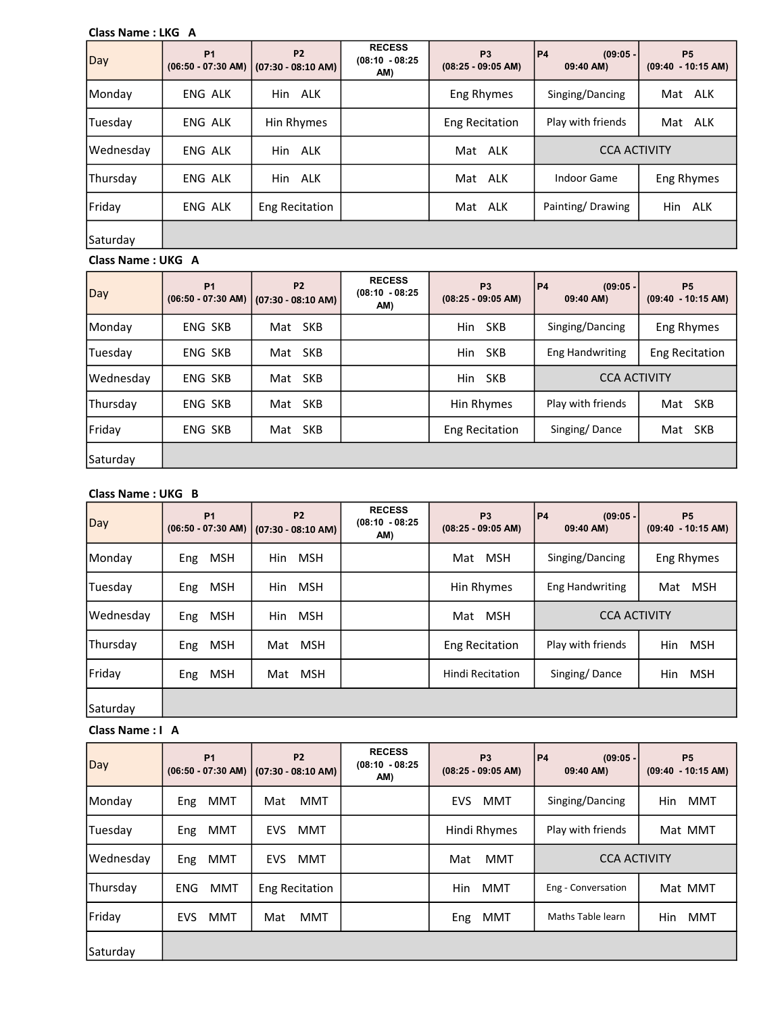#### Class Name : LKG A

| Day       | P <sub>1</sub> | <b>P2</b><br>$(06:50 - 07:30$ AM) $(07:30 - 08:10$ AM) | <b>RECESS</b><br>$(08:10 - 08:25)$<br>AM) | P <sub>3</sub><br>$(08:25 - 09:05 AM)$ | P4<br>$(09:05 -$<br>09:40 AM) | P <sub>5</sub><br>$(09:40 - 10:15 AM)$ |
|-----------|----------------|--------------------------------------------------------|-------------------------------------------|----------------------------------------|-------------------------------|----------------------------------------|
| Monday    | ENG ALK        | Hin ALK                                                |                                           | Eng Rhymes                             | Singing/Dancing               | Mat ALK                                |
| Tuesdav   | ENG ALK        | Hin Rhymes                                             |                                           | <b>Eng Recitation</b>                  | Play with friends             | Mat ALK                                |
| Wednesday | ENG ALK        | Hin ALK                                                |                                           | Mat ALK                                | <b>CCA ACTIVITY</b>           |                                        |
| Thursday  | ENG ALK        | Hin ALK                                                |                                           | ALK<br>Mat                             | <b>Indoor Game</b>            | Eng Rhymes                             |
| Friday    | ENG ALK        | Eng Recitation                                         |                                           | Mat ALK                                | Painting/Drawing              | Hin<br>ALK                             |
| Saturday  |                |                                                        |                                           |                                        |                               |                                        |

## Class Name : UKG A

| Day       | <b>P1</b>      | <b>P2</b><br>(06:50 - 07:30 AM)   (07:30 - 08:10 AM) | <b>RECESS</b><br>$(08:10 - 08:25)$<br>AM) | P <sub>3</sub><br>$(08:25 - 09:05 AM)$ | P <sub>4</sub><br>$(09:05 -$<br>09:40 AM) | <b>P5</b><br>$(09:40 - 10:15$ AM) |
|-----------|----------------|------------------------------------------------------|-------------------------------------------|----------------------------------------|-------------------------------------------|-----------------------------------|
| Monday    | ENG SKB        | Mat SKB                                              |                                           | Hin<br><b>SKB</b>                      | Singing/Dancing                           | Eng Rhymes                        |
| Tuesday   | ENG SKB        | Mat SKB                                              |                                           | Hin SKB                                | <b>Eng Handwriting</b>                    | <b>Eng Recitation</b>             |
| Wednesday | <b>ENG SKB</b> | <b>SKB</b><br>Mat                                    |                                           | Hin SKB                                | <b>CCA ACTIVITY</b>                       |                                   |
| Thursday  | <b>ENG SKB</b> | <b>SKB</b><br>Mat                                    |                                           | Hin Rhymes                             | Play with friends                         | Mat SKB                           |
| Friday    | <b>ENG SKB</b> | Mat SKB                                              |                                           | <b>Eng Recitation</b>                  | Singing/Dance                             | Mat SKB                           |
| Saturday  |                |                                                      |                                           |                                        |                                           |                                   |

# Class Name : UKG B

| Day       | <b>P1</b>         | <b>P2</b><br>$(06:50 - 07:30$ AM) $(07:30 - 08:10$ AM) | <b>RECESS</b><br>$(08:10 - 08:25)$<br>AM) | P <sub>3</sub><br>$(08:25 - 09:05 AM)$ | P4 <br>$(09:05 -$<br>09:40 AM) | P <sub>5</sub><br>$(09:40 - 10:15$ AM) |
|-----------|-------------------|--------------------------------------------------------|-------------------------------------------|----------------------------------------|--------------------------------|----------------------------------------|
| Monday    | <b>MSH</b><br>Eng | <b>MSH</b><br>Hin                                      |                                           | <b>MSH</b><br>Mat                      | Singing/Dancing                | Eng Rhymes                             |
| Tuesday   | <b>MSH</b><br>Eng | <b>MSH</b><br>Hin                                      |                                           | Hin Rhymes                             | <b>Eng Handwriting</b>         | MSH<br>Mat                             |
| Wednesday | <b>MSH</b><br>Eng | <b>MSH</b><br>Hin                                      |                                           | <b>MSH</b><br>Mat                      | <b>CCA ACTIVITY</b>            |                                        |
| Thursday  | <b>MSH</b><br>Eng | Mat MSH                                                |                                           | <b>Eng Recitation</b>                  | Play with friends              | Hin<br>MSH                             |
| Friday    | <b>MSH</b><br>Eng | <b>MSH</b><br>Mat                                      |                                           | <b>Hindi Recitation</b>                | Singing/Dance                  | <b>Hin</b><br><b>MSH</b>               |
| Saturday  |                   |                                                        |                                           |                                        |                                |                                        |

#### Class Name : I A

| Day       | <b>P1</b>                | P <sub>2</sub><br>$(06:50 - 07:30$ AM) $(07:30 - 08:10$ AM) | <b>RECESS</b><br>$(08:10 - 08:25)$<br>AM) | P <sub>3</sub><br>$(08:25 - 09:05 AM)$ | P4 <br>$(09:05 -$<br>09:40 AM) | P <sub>5</sub><br>$(09:40 - 10:15$ AM) |
|-----------|--------------------------|-------------------------------------------------------------|-------------------------------------------|----------------------------------------|--------------------------------|----------------------------------------|
| Monday    | MMT<br>Eng               | <b>MMT</b><br>Mat                                           |                                           | <b>EVS</b><br>MMT                      | Singing/Dancing                | MMT<br>Hin.                            |
| Tuesday   | MMT<br>Eng               | <b>MMT</b><br>EVS.                                          |                                           | Hindi Rhymes                           | Play with friends              | Mat MMT                                |
| Wednesday | MMT<br><b>Eng</b>        | <b>MMT</b><br>EVS.                                          |                                           | <b>MMT</b><br>Mat                      | <b>CCA ACTIVITY</b>            |                                        |
| Thursday  | <b>MMT</b><br><b>ENG</b> | Eng Recitation                                              |                                           | <b>MMT</b><br>Hin                      | Eng - Conversation             | Mat MMT                                |
| Friday    | <b>MMT</b><br><b>EVS</b> | <b>MMT</b><br>Mat                                           |                                           | MMT<br><b>Eng</b>                      | Maths Table learn              | Hin<br><b>MMT</b>                      |
| Saturdav  |                          |                                                             |                                           |                                        |                                |                                        |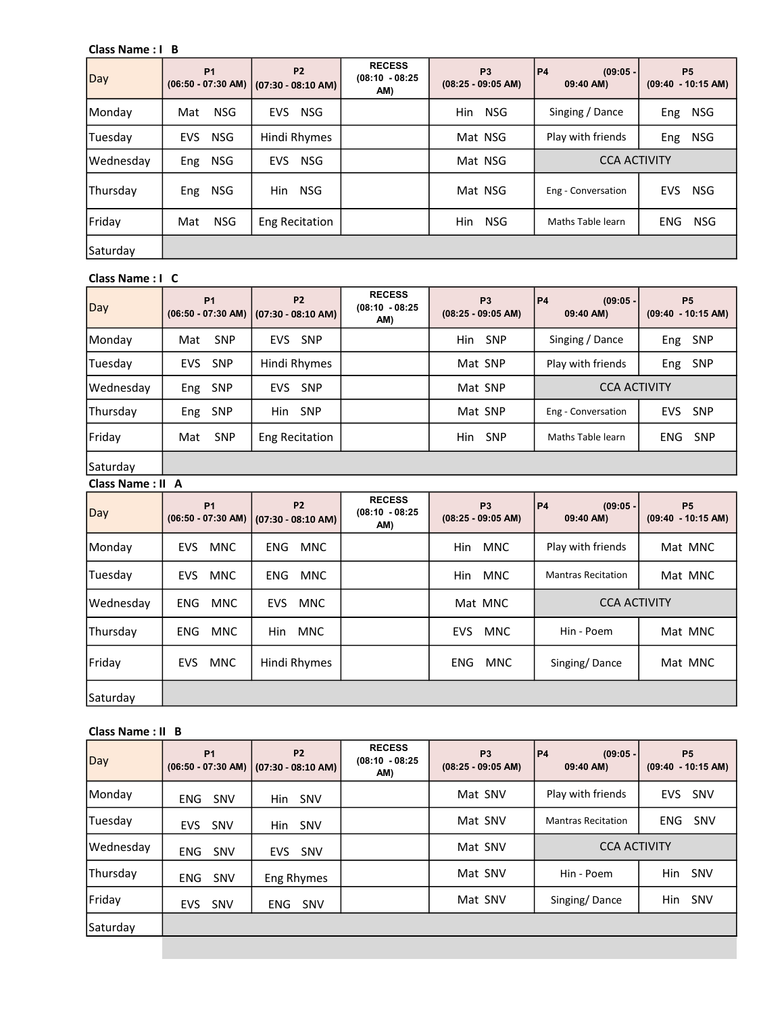# Class Name : I B

| Day       | <b>P1</b>         | P <sub>2</sub><br>$(06:50 - 07:30$ AM) $(07:30 - 08:10$ AM) | <b>RECESS</b><br>$(08:10 - 08:25)$<br>AM) | P <sub>3</sub><br>$(08:25 - 09:05 AM)$ | P4<br>$(09:05 -$<br>09:40 AM) | P <sub>5</sub><br>$(09:40 - 10:15 AM)$ |
|-----------|-------------------|-------------------------------------------------------------|-------------------------------------------|----------------------------------------|-------------------------------|----------------------------------------|
| Monday    | <b>NSG</b><br>Mat | <b>NSG</b><br>EVS                                           |                                           | Hin<br><b>NSG</b>                      | Singing / Dance               | Eng<br>NSG                             |
| Tuesday   | EVS NSG           | Hindi Rhymes                                                |                                           | Mat NSG                                | Play with friends             | NSG<br>Eng                             |
| Wednesday | NSG<br>Eng        | <b>NSG</b><br><b>EVS</b>                                    |                                           | Mat NSG                                | <b>CCA ACTIVITY</b>           |                                        |
| Thursday  | NSG<br>Eng        | <b>NSG</b><br>Hin                                           |                                           | Mat NSG                                | Eng - Conversation            | <b>EVS</b><br><b>NSG</b>               |
| Friday    | <b>NSG</b><br>Mat | Eng Recitation                                              |                                           | <b>Hin</b><br><b>NSG</b>               | Maths Table learn             | <b>ENG</b><br>NSG                      |
| Saturday  |                   |                                                             |                                           |                                        |                               |                                        |

#### Class Name : I C

| Day       | <b>P1</b>                | P <sub>2</sub><br>$(06:50 - 07:30$ AM) $(07:30 - 08:10$ AM) | <b>RECESS</b><br>$(08:10 - 08:25)$<br>AM) | P <sub>3</sub><br>$(08:25 - 09:05 AM)$ | P4<br>$(09:05 -$<br>09:40 AM) | P <sub>5</sub><br>$(09:40 - 10:15$ AM) |
|-----------|--------------------------|-------------------------------------------------------------|-------------------------------------------|----------------------------------------|-------------------------------|----------------------------------------|
| Monday    | <b>SNP</b><br>Mat        | EVS SNP                                                     |                                           | Hin<br>SNP                             | Singing / Dance               | Eng SNP                                |
| Tuesday   | <b>SNP</b><br><b>EVS</b> | Hindi Rhymes                                                |                                           | Mat SNP                                | Play with friends             | Eng SNP                                |
| Wednesday | Eng SNP                  | EVS SNP                                                     |                                           | Mat SNP                                | <b>CCA ACTIVITY</b>           |                                        |
| Thursday  | SNP<br>Eng               | Hin SNP                                                     |                                           | Mat SNP                                | Eng - Conversation            | EVS SNP                                |
| Friday    | <b>SNP</b><br>Mat        | Eng Recitation                                              |                                           | <b>SNP</b><br>Hin                      | Maths Table learn             | ENG SNP                                |
| Saturday  |                          |                                                             |                                           |                                        |                               |                                        |

# Class Name : II A

| Day       | <b>P1</b>                | P <sub>2</sub><br>$(06:50 - 07:30$ AM) $(07:30 - 08:10$ AM) | <b>RECESS</b><br>$(08:10 - 08:25)$<br>AM) | P <sub>3</sub><br>$(08:25 - 09:05 AM)$ | P4<br>$(09:05 -$<br>09:40 AM) | P <sub>5</sub><br>$(09:40 - 10:15$ AM) |  |
|-----------|--------------------------|-------------------------------------------------------------|-------------------------------------------|----------------------------------------|-------------------------------|----------------------------------------|--|
| Monday    | <b>EVS</b><br><b>MNC</b> | <b>ENG</b><br><b>MNC</b>                                    |                                           | <b>Hin</b><br>MNC                      | Play with friends             | Mat MNC                                |  |
| Tuesday   | <b>MNC</b><br><b>EVS</b> | <b>MNC</b><br><b>ENG</b>                                    |                                           | MNC<br><b>Hin</b>                      | <b>Mantras Recitation</b>     | Mat MNC                                |  |
| Wednesday | <b>ENG</b><br>MNC        | MNC<br><b>EVS</b>                                           |                                           | Mat MNC                                | <b>CCA ACTIVITY</b>           |                                        |  |
| Thursday  | <b>MNC</b><br><b>ENG</b> | <b>MNC</b><br><b>Hin</b>                                    |                                           | <b>EVS</b><br><b>MNC</b>               | Hin - Poem                    | Mat MNC                                |  |
| Friday    | <b>MNC</b><br><b>EVS</b> | Hindi Rhymes                                                |                                           | <b>ENG</b><br><b>MNC</b>               | Singing/Dance                 | Mat MNC                                |  |
| Saturday  |                          |                                                             |                                           |                                        |                               |                                        |  |

## Class Name : II B

| Day       | <b>P1</b>                | <b>P2</b><br>$(06:50 - 07:30$ AM) $(07:30 - 08:10$ AM) | <b>RECESS</b><br>$(08:10 - 08:25)$<br>AM) | P <sub>3</sub><br>$(08:25 - 09:05 AM)$ | P4 <br>$(09:05 -$<br>09:40 AM) | P <sub>5</sub><br>$(09:40 - 10:15$ AM) |
|-----------|--------------------------|--------------------------------------------------------|-------------------------------------------|----------------------------------------|--------------------------------|----------------------------------------|
| Monday    | ENG<br><b>SNV</b>        | SNV<br>Hin                                             |                                           | Mat SNV                                | Play with friends              | EVS SNV                                |
| Tuesday   | EVS SNV                  | Hin SNV                                                |                                           | Mat SNV                                | <b>Mantras Recitation</b>      | ENG SNV                                |
| Wednesday | <b>ENG</b><br><b>SNV</b> | <b>SNV</b><br><b>EVS</b>                               |                                           | Mat SNV                                | <b>CCA ACTIVITY</b>            |                                        |
| Thursday  | SNV<br><b>ENG</b>        | Eng Rhymes                                             |                                           | Mat SNV                                | Hin - Poem                     | Hin<br>SNV                             |
| Friday    | <b>SNV</b><br><b>EVS</b> | SNV<br><b>ENG</b>                                      |                                           | Mat SNV                                | Singing/Dance                  | <b>SNV</b><br>Hin                      |
| Saturday  |                          |                                                        |                                           |                                        |                                |                                        |